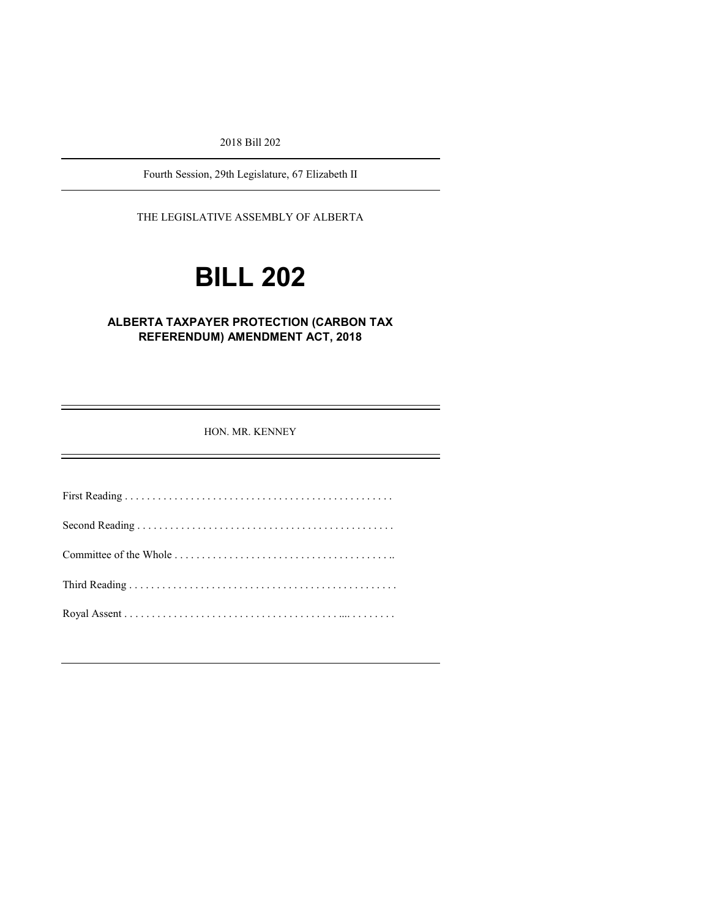2018 Bill 202

Fourth Session, 29th Legislature, 67 Elizabeth II

THE LEGISLATIVE ASSEMBLY OF ALBERTA

# **BILL 202**

### **ALBERTA TAXPAYER PROTECTION (CARBON TAX REFERENDUM) AMENDMENT ACT, 2018**

HON. MR. KENNEY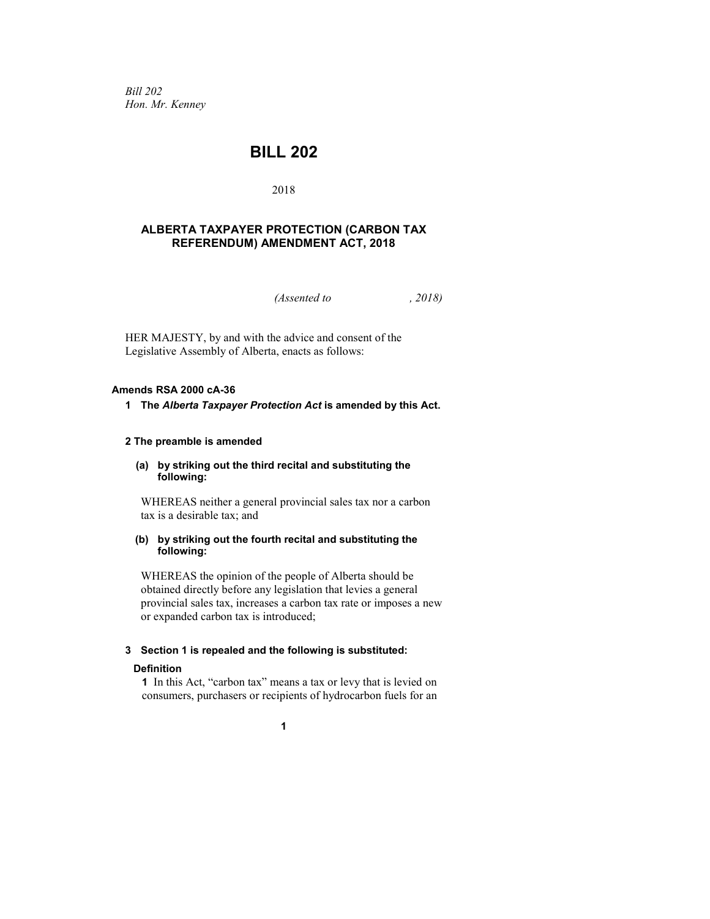*Bill 202 Hon. Mr. Kenney*

## **BILL 202**

#### 2018

#### **ALBERTA TAXPAYER PROTECTION (CARBON TAX REFERENDUM) AMENDMENT ACT, 2018**

*(Assented to , 2018)*

HER MAJESTY, by and with the advice and consent of the Legislative Assembly of Alberta, enacts as follows:

#### **Amends RSA 2000 cA-36**

#### **1 The** *Alberta Taxpayer Protection Act* **is amended by this Act.**

#### **2 The preamble is amended**

**(a) by striking out the third recital and substituting the following:**

WHEREAS neither a general provincial sales tax nor a carbon tax is a desirable tax; and

#### **(b) by striking out the fourth recital and substituting the following:**

WHEREAS the opinion of the people of Alberta should be obtained directly before any legislation that levies a general provincial sales tax, increases a carbon tax rate or imposes a new or expanded carbon tax is introduced;

#### **3 Section 1 is repealed and the following is substituted:**

#### **Definition**

**1** In this Act, "carbon tax" means a tax or levy that is levied on consumers, purchasers or recipients of hydrocarbon fuels for an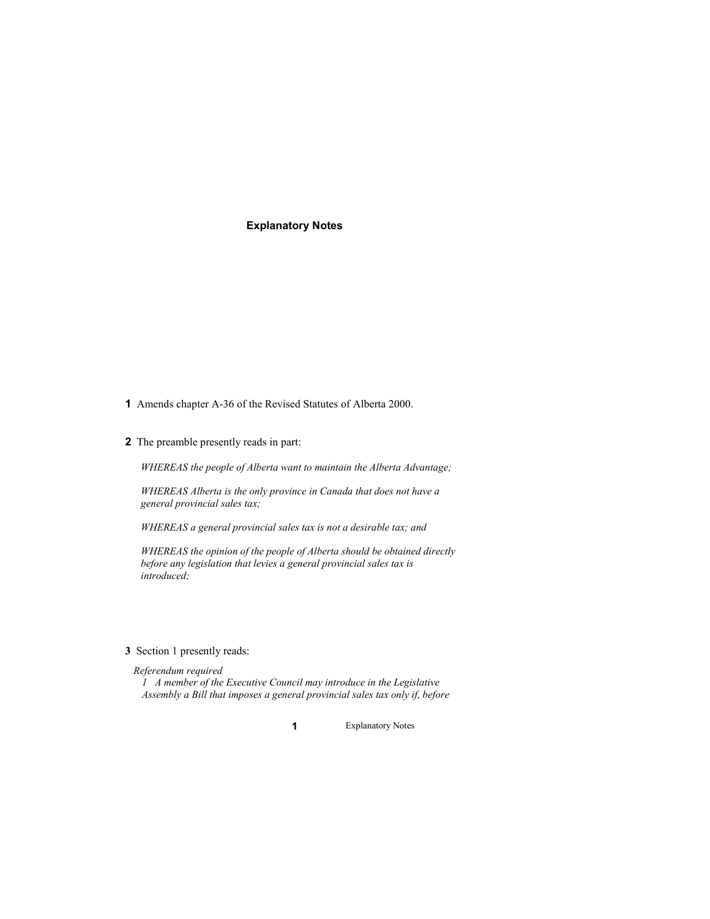#### **Explanatory Notes**

- **1** Amends chapter A-36 of the Revised Statutes of Alberta 2000.
- **2** The preamble presently reads in part:

*WHEREAS the people of Alberta want to maintain the Alberta Advantage;*

*WHEREAS Alberta is the only province in Canada that does not have a general provincial sales tax;*

*WHEREAS a general provincial sales tax is not a desirable tax; and*

*WHEREAS the opinion of the people of Alberta should be obtained directly before any legislation that levies a general provincial sales tax is introduced;*

#### **3** Section 1 presently reads:

*Referendum required*

*1 A member of the Executive Council may introduce in the Legislative Assembly a Bill that imposes a general provincial sales tax only if, before*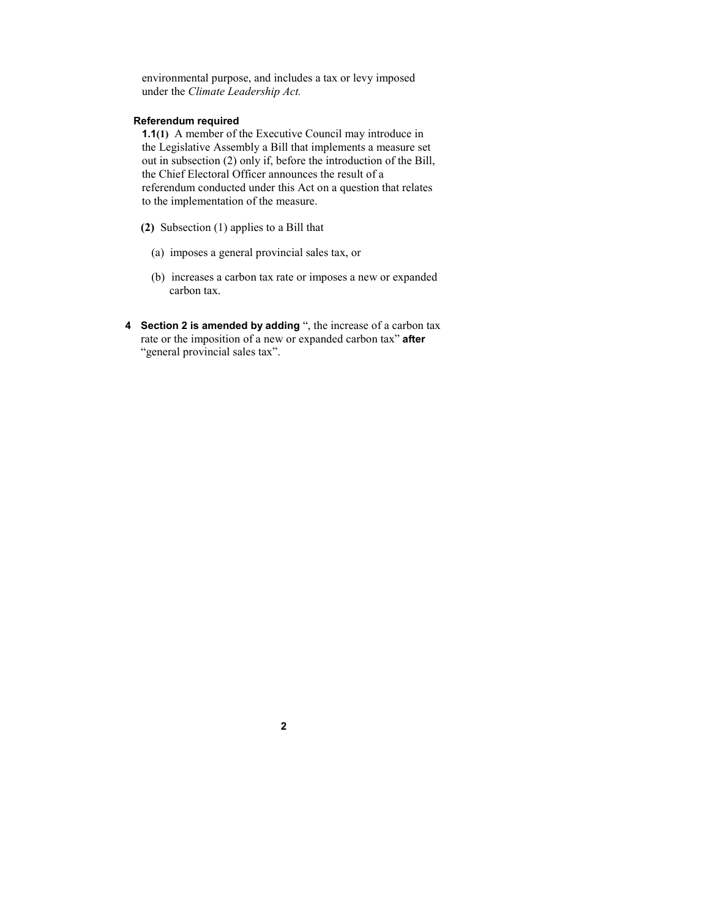environmental purpose, and includes a tax or levy imposed under the *Climate Leadership Act.*

#### **Referendum required**

**1.1(1)** A member of the Executive Council may introduce in the Legislative Assembly a Bill that implements a measure set out in subsection (2) only if, before the introduction of the Bill, the Chief Electoral Officer announces the result of a referendum conducted under this Act on a question that relates to the implementation of the measure.

- **(2)** Subsection (1) applies to a Bill that
	- (a) imposes a general provincial sales tax, or
	- (b) increases a carbon tax rate or imposes a new or expanded carbon tax.
- **4 Section 2 is amended by adding** ", the increase of a carbon tax rate or the imposition of a new or expanded carbon tax" **after**  "general provincial sales tax".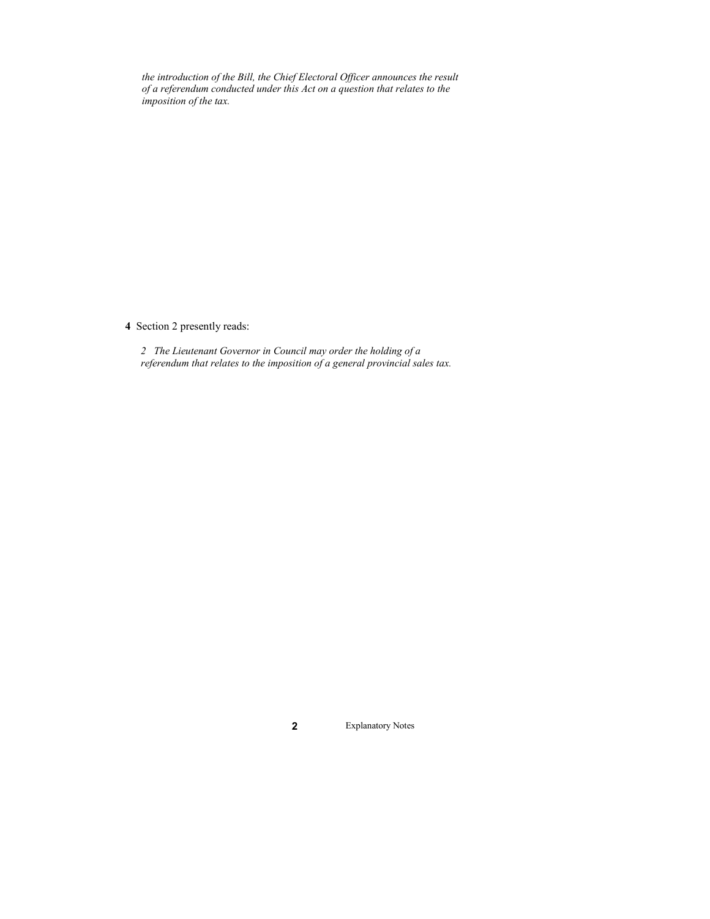*the introduction of the Bill, the Chief Electoral Officer announces the result of a referendum conducted under this Act on a question that relates to the imposition of the tax.*

**4** Section 2 presently reads:

*2 The Lieutenant Governor in Council may order the holding of a referendum that relates to the imposition of a general provincial sales tax.*